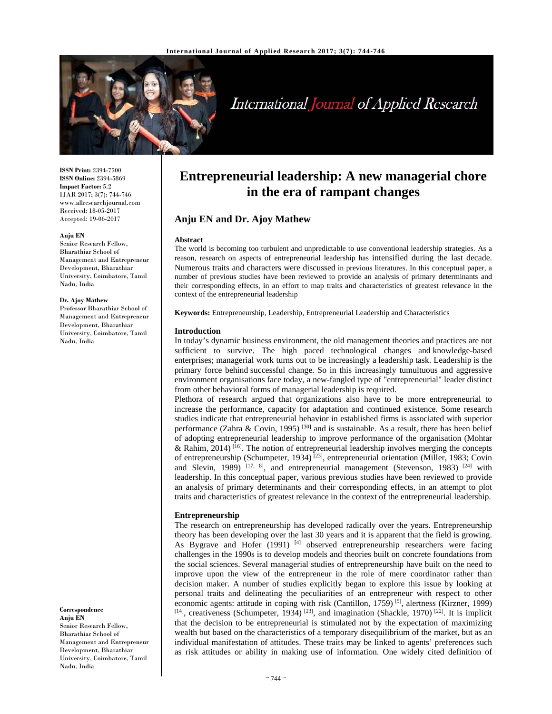

# International Journal of Applied Research

**ISSN Print:** 2394-7500 **ISSN Online:** 2394-5869 **Impact Factor:** 5.2 IJAR 2017; 3(7): 744-746 www.allresearchjournal.com Received: 18-05-2017 Accepted: 19-06-2017

#### **Anju EN**

Senior Research Fellow, Bharathiar School of Management and Entrepreneur Development, Bharathiar University, Coimbatore, Tamil Nadu, India

#### **Dr. Ajoy Mathew**

Professor Bharathiar School of Management and Entrepreneur Development, Bharathiar University, Coimbatore, Tamil Nadu, India

**Correspondence Anju EN**  Senior Research Fellow, Bharathiar School of

Management and Entrepreneur Development, Bharathiar University, Coimbatore, Tamil Nadu, India

## **Entrepreneurial leadership: A new managerial chore in the era of rampant changes**

## **Anju EN and Dr. Ajoy Mathew**

#### **Abstract**

The world is becoming too turbulent and unpredictable to use conventional leadership strategies. As a reason, research on aspects of entrepreneurial leadership has intensified during the last decade. Numerous traits and characters were discussed in previous literatures. In this conceptual paper, a number of previous studies have been reviewed to provide an analysis of primary determinants and their corresponding effects, in an effort to map traits and characteristics of greatest relevance in the context of the entrepreneurial leadership

**Keywords:** Entrepreneurship, Leadership, Entrepreneurial Leadership and Characteristics

#### **Introduction**

In today's dynamic business environment, the old management theories and practices are not sufficient to survive. The high paced technological changes and knowledge-based enterprises; managerial work turns out to be increasingly a leadership task. Leadership is the primary force behind successful change. So in this increasingly tumultuous and aggressive environment organisations face today, a new-fangled type of "entrepreneurial" leader distinct from other behavioral forms of managerial leadership is required.

Plethora of research argued that organizations also have to be more entrepreneurial to increase the performance, capacity for adaptation and continued existence. Some research studies indicate that entrepreneurial behavior in established firms is associated with superior performance (Zahra & Covin, 1995)<sup>[30]</sup> and is sustainable. As a result, there has been belief of adopting entrepreneurial leadership to improve performance of the organisation (Mohtar & Rahim, 2014)<sup> $[16]$ </sup>. The notion of entrepreneurial leadership involves merging the concepts of entrepreneurship (Schumpeter, 1934)<sup>[23]</sup>, entrepreneurial orientation (Miller, 1983; Covin and Slevin, 1989)  $[17, 8]$ , and entrepreneurial management (Stevenson, 1983)  $[24]$  with leadership. In this conceptual paper, various previous studies have been reviewed to provide an analysis of primary determinants and their corresponding effects, in an attempt to plot traits and characteristics of greatest relevance in the context of the entrepreneurial leadership.

## **Entrepreneurship**

The research on entrepreneurship has developed radically over the years. Entrepreneurship theory has been developing over the last 30 years and it is apparent that the field is growing. As Bygrave and Hofer  $(1991)$  [4] observed entrepreneurship researchers were facing challenges in the 1990s is to develop models and theories built on concrete foundations from the social sciences. Several managerial studies of entrepreneurship have built on the need to improve upon the view of the entrepreneur in the role of mere coordinator rather than decision maker. A number of studies explicitly began to explore this issue by looking at personal traits and delineating the peculiarities of an entrepreneur with respect to other economic agents: attitude in coping with risk (Cantillon, 1759) [5], alertness (Kirzner, 1999)  $[14]$ , creativeness (Schumpeter, 1934)  $[23]$ , and imagination (Shackle, 1970)  $[22]$ . It is implicit that the decision to be entrepreneurial is stimulated not by the expectation of maximizing wealth but based on the characteristics of a temporary disequilibrium of the market, but as an individual manifestation of attitudes. These traits may be linked to agents' preferences such as risk attitudes or ability in making use of information. One widely cited definition of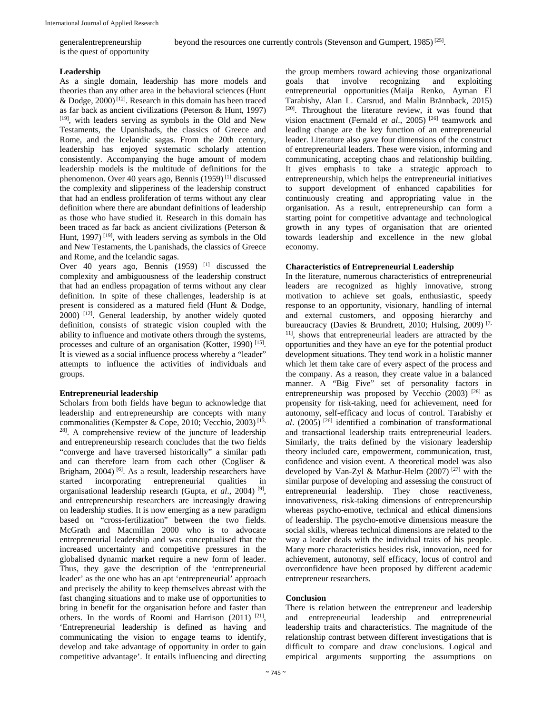generalentrepreneurship is the quest of opportunity

#### **Leadership**

As a single domain, leadership has more models and theories than any other area in the behavioral sciences (Hunt & Dodge,  $2000$ <sup>[12]</sup>. Research in this domain has been traced as far back as ancient civilizations (Peterson & Hunt, 1997) [19], with leaders serving as symbols in the Old and New Testaments, the Upanishads, the classics of Greece and Rome, and the Icelandic sagas. From the 20th century, leadership has enjoyed systematic scholarly attention consistently. Accompanying the huge amount of modern leadership models is the multitude of definitions for the phenomenon. Over 40 years ago, Bennis (1959) [1] discussed the complexity and slipperiness of the leadership construct that had an endless proliferation of terms without any clear definition where there are abundant definitions of leadership as those who have studied it. Research in this domain has been traced as far back as ancient civilizations (Peterson & Hunt, 1997)<sup>[19]</sup>, with leaders serving as symbols in the Old and New Testaments, the Upanishads, the classics of Greece and Rome, and the Icelandic sagas.

Over 40 years ago, Bennis (1959) <sup>[1]</sup> discussed the complexity and ambiguousness of the leadership construct that had an endless propagation of terms without any clear definition. In spite of these challenges, leadership is at present is considered as a matured field (Hunt & Dodge,  $2000$ )  $[12]$ . General leadership, by another widely quoted definition, consists of strategic vision coupled with the ability to influence and motivate others through the systems, processes and culture of an organisation (Kotter, 1990)<sup>[15]</sup>. It is viewed as a social influence process whereby a "leader" attempts to influence the activities of individuals and groups.

## **Entrepreneurial leadership**

Scholars from both fields have begun to acknowledge that leadership and entrepreneurship are concepts with many commonalities (Kempster & Cope, 2010; Vecchio, 2003)<sup>[13,</sup> <sup>28]</sup>. A comprehensive review of the juncture of leadership and entrepreneurship research concludes that the two fields "converge and have traversed historically" a similar path and can therefore learn from each other (Cogliser & Brigham, 2004)<sup>[6]</sup>. As a result, leadership researchers have started incorporating entrepreneurial qualities in organisational leadership research (Gupta, *et al*., 2004) [9], and entrepreneurship researchers are increasingly drawing on leadership studies. It is now emerging as a new paradigm based on "cross-fertilization" between the two fields. McGrath and Macmillan 2000 who is to advocate entrepreneurial leadership and was conceptualised that the increased uncertainty and competitive pressures in the globalised dynamic market require a new form of leader. Thus, they gave the description of the 'entrepreneurial leader' as the one who has an apt 'entrepreneurial' approach and precisely the ability to keep themselves abreast with the fast changing situations and to make use of opportunities to bring in benefit for the organisation before and faster than others. In the words of Roomi and Harrison (2011) [21], 'Entrepreneurial leadership is defined as having and communicating the vision to engage teams to identify, develop and take advantage of opportunity in order to gain competitive advantage'. It entails influencing and directing

the group members toward achieving those organizational goals that involve recognizing and exploiting entrepreneurial opportunities (Maija Renko, Ayman El Tarabishy, Alan L. Carsrud, and Malin Brännback, 2015) [20]. Throughout the literature review, it was found that vision enactment (Fernald *et al*., 2005) [26] teamwork and leading change are the key function of an entrepreneurial leader. Literature also gave four dimensions of the construct of entrepreneurial leaders. These were vision, informing and communicating, accepting chaos and relationship building. It gives emphasis to take a strategic approach to entrepreneurship, which helps the entrepreneurial initiatives to support development of enhanced capabilities for continuously creating and appropriating value in the organisation. As a result, entrepreneurship can form a starting point for competitive advantage and technological growth in any types of organisation that are oriented towards leadership and excellence in the new global economy.

## **Characteristics of Entrepreneurial Leadership**

In the literature, numerous characteristics of entrepreneurial leaders are recognized as highly innovative, strong motivation to achieve set goals, enthusiastic, speedy response to an opportunity, visionary, handling of internal and external customers, and opposing hierarchy and bureaucracy (Davies & Brundrett, 2010; Hulsing, 2009)<sup>[7,</sup> 11], shows that entrepreneurial leaders are attracted by the opportunities and they have an eye for the potential product development situations. They tend work in a holistic manner which let them take care of every aspect of the process and the company. As a reason, they create value in a balanced manner. A "Big Five" set of personality factors in entrepreneurship was proposed by Vecchio  $(2003)$ <sup>[28]</sup> as propensity for risk-taking, need for achievement, need for autonomy, self-efficacy and locus of control. Tarabishy *et al*. (2005) [26] identified a combination of transformational and transactional leadership traits entrepreneurial leaders. Similarly, the traits defined by the visionary leadership theory included care, empowerment, communication, trust, confidence and vision event. A theoretical model was also developed by Van-Zyl & Mathur-Helm (2007)<sup>[27]</sup> with the similar purpose of developing and assessing the construct of entrepreneurial leadership. They chose reactiveness, innovativeness, risk-taking dimensions of entrepreneurship whereas psycho-emotive, technical and ethical dimensions of leadership. The psycho-emotive dimensions measure the social skills, whereas technical dimensions are related to the way a leader deals with the individual traits of his people. Many more characteristics besides risk, innovation, need for achievement, autonomy, self efficacy, locus of control and overconfidence have been proposed by different academic entrepreneur researchers.

## **Conclusion**

There is relation between the entrepreneur and leadership and entrepreneurial leadership and entrepreneurial leadership traits and characteristics. The magnitude of the relationship contrast between different investigations that is difficult to compare and draw conclusions. Logical and empirical arguments supporting the assumptions on